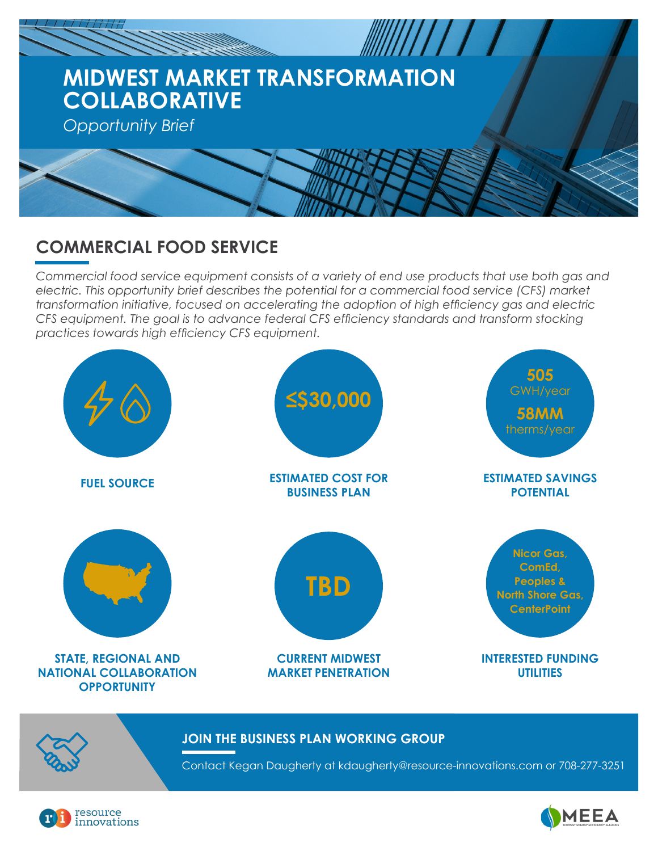

# **COMMERCIAL FOOD SERVICE**

*Commercial food service equipment consists of a variety of end use products that use both gas and electric. This opportunity brief describes the potential for a commercial food service (CFS) market transformation initiative, focused on accelerating the adoption of high efficiency gas and electric CFS equipment. The goal is to advance federal CFS efficiency standards and transform stocking practices towards high efficiency CFS equipment.*



#### **JOIN THE BUSINESS PLAN WORKING GROUP**

Contact Kegan Daugherty at kdaugherty@resource-innovations.com or 708-277-3251



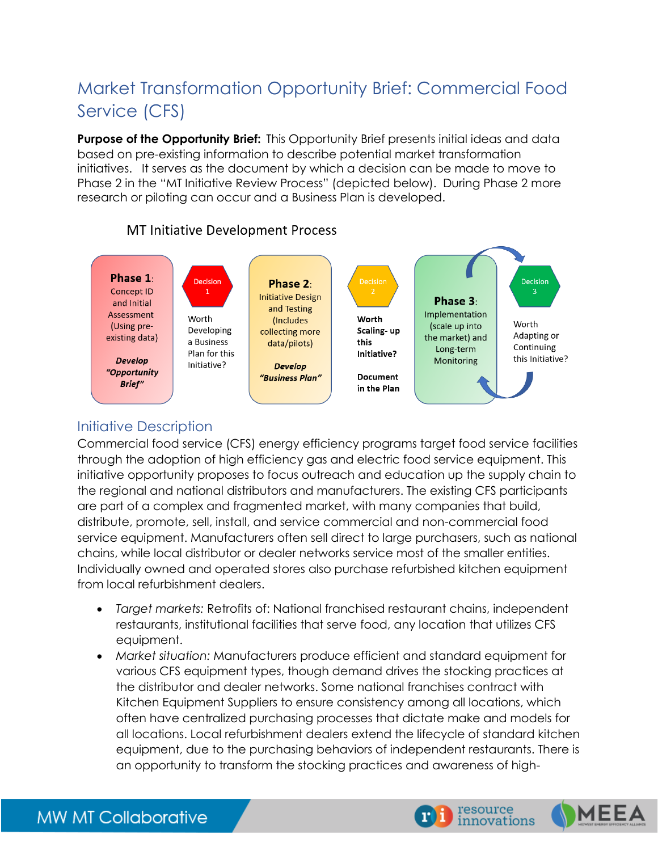# Market Transformation Opportunity Brief: Commercial Food Service (CFS)

**Purpose of the Opportunity Brief:** This Opportunity Brief presents initial ideas and data based on pre-existing information to describe potential market transformation initiatives. It serves as the document by which a decision can be made to move to Phase 2 in the "MT Initiative Review Process" (depicted below). During Phase 2 more research or piloting can occur and a Business Plan is developed.



## **MT Initiative Development Process**

## Initiative Description

Commercial food service (CFS) energy efficiency programs target food service facilities through the adoption of high efficiency gas and electric food service equipment. This initiative opportunity proposes to focus outreach and education up the supply chain to the regional and national distributors and manufacturers. The existing CFS participants are part of a complex and fragmented market, with many companies that build, distribute, promote, sell, install, and service commercial and non-commercial food service equipment. Manufacturers often sell direct to large purchasers, such as national chains, while local distributor or dealer networks service most of the smaller entities. Individually owned and operated stores also purchase refurbished kitchen equipment from local refurbishment dealers.

- *Target markets:* Retrofits of: National franchised restaurant chains, independent restaurants, institutional facilities that serve food, any location that utilizes CFS equipment.
- *Market situation:* Manufacturers produce efficient and standard equipment for various CFS equipment types, though demand drives the stocking practices at the distributor and dealer networks. Some national franchises contract with Kitchen Equipment Suppliers to ensure consistency among all locations, which often have centralized purchasing processes that dictate make and models for all locations. Local refurbishment dealers extend the lifecycle of standard kitchen equipment, due to the purchasing behaviors of independent restaurants. There is an opportunity to transform the stocking practices and awareness of high-



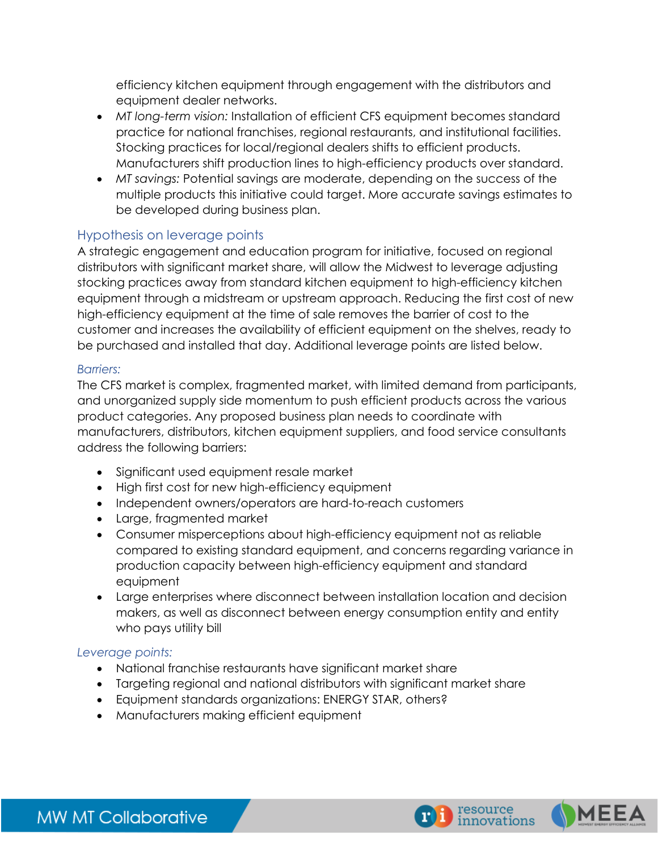efficiency kitchen equipment through engagement with the distributors and equipment dealer networks.

- *MT long-term vision:* Installation of efficient CFS equipment becomes standard practice for national franchises, regional restaurants, and institutional facilities. Stocking practices for local/regional dealers shifts to efficient products. Manufacturers shift production lines to high-efficiency products over standard.
- *MT savings:* Potential savings are moderate, depending on the success of the multiple products this initiative could target. More accurate savings estimates to be developed during business plan.

## Hypothesis on leverage points

A strategic engagement and education program for initiative, focused on regional distributors with significant market share, will allow the Midwest to leverage adjusting stocking practices away from standard kitchen equipment to high-efficiency kitchen equipment through a midstream or upstream approach. Reducing the first cost of new high-efficiency equipment at the time of sale removes the barrier of cost to the customer and increases the availability of efficient equipment on the shelves, ready to be purchased and installed that day. Additional leverage points are listed below.

#### *Barriers:*

The CFS market is complex, fragmented market, with limited demand from participants, and unorganized supply side momentum to push efficient products across the various product categories. Any proposed business plan needs to coordinate with manufacturers, distributors, kitchen equipment suppliers, and food service consultants address the following barriers:

- Significant used equipment resale market
- High first cost for new high-efficiency equipment
- Independent owners/operators are hard-to-reach customers
- Large, fragmented market
- Consumer misperceptions about high-efficiency equipment not as reliable compared to existing standard equipment, and concerns regarding variance in production capacity between high-efficiency equipment and standard equipment
- Large enterprises where disconnect between installation location and decision makers, as well as disconnect between energy consumption entity and entity who pays utility bill

#### *Leverage points:*

- National franchise restaurants have significant market share
- Targeting regional and national distributors with significant market share
- Equipment standards organizations: ENERGY STAR, others?
- Manufacturers making efficient equipment





MEE